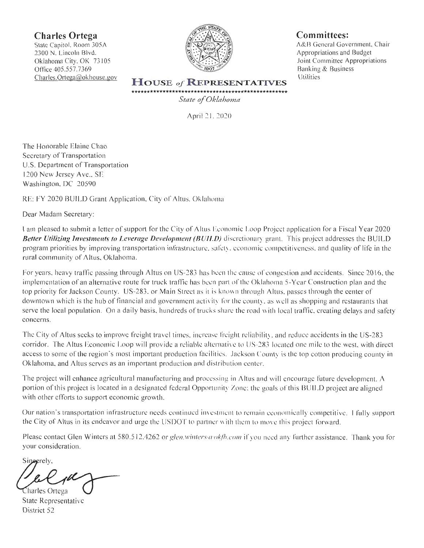**Charles Ortega** 

State Capitol, Room 305A 2300 N. Lincoln Blvd. Oklahoma City, OK 73105 Office 405.557.7369 Charles.Ortega@okhouse.gov



## Committees:

A&B General Government, Chair Appropriations and Budget Joint Committee Appropriations Banking & Business Utilities

**HOUSE of REPRESENTATIVES** 

State of Oklahoma

April 21, 2020

The Honorable Elaine Chao Secretary of Transportation U.S. Department of Transportation 1200 New Jersey Ave., SE Washington, DC 20590

RE: FY 2020 BUILD Grant Application, City of Altus, Oklahoma

Dear Madam Secretary:

I am pleased to submit a letter of support for the City of Altus Economic Loop Project application for a Fiscal Year 2020 Better Utilizing Investments to Leverage Development (BUILD) discretionary grant. This project addresses the BUILD program priorities by improving transportation infrastructure, safety, economic competitiveness, and quality of life in the rural community of Altus, Oklahoma.

For years, heavy traffic passing through Altus on US-283 has been the cause of congestion and accidents. Since 2016, the implementation of an alternative route for truck traffic has been part of the Oklahoma 5-Year Construction plan and the top priority for Jackson County. US-283, or Main Street as it is known through Altus, passes through the center of downtown which is the hub of financial and government activity for the county, as well as shopping and restaurants that serve the local population. On a daily basis, hundreds of trucks share the road with local traffic, creating delays and safety concerns.

The City of Altus seeks to improve freight travel times, increase freight reliability, and reduce accidents in the US-283 corridor. The Altus Economic Loop will provide a reliable alternative to US-283 located one mile to the west, with direct access to some of the region's most important production facilities. Jackson County is the top cotton producing county in Oklahoma, and Altus serves as an important production and distribution center.

The project will enhance agricultural manufacturing and processing in Altus and will encourage future development.  $\Lambda$ portion of this project is located in a designated federal Opportunity Zone; the goals of this BUILD project are aligned with other efforts to support economic growth.

Our nation's transportation infrastructure needs continued investment to remain economically competitive. I fully support the City of Altus in its endeavor and urge the USDOT to partner with them to move this project forward.

Please contact Glen Winters at 580.512.4262 or glen.winters@okfb.com if you need any further assistance. Thank you for your consideration.

Sineerely. Charles Ortega

State Representative District 52